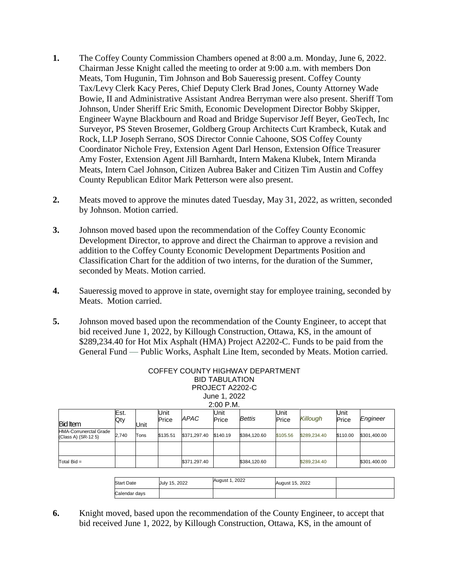- **1.** The Coffey County Commission Chambers opened at 8:00 a.m. Monday, June 6, 2022. Chairman Jesse Knight called the meeting to order at 9:00 a.m. with members Don Meats, Tom Hugunin, Tim Johnson and Bob Saueressig present. Coffey County Tax/Levy Clerk Kacy Peres, Chief Deputy Clerk Brad Jones, County Attorney Wade Bowie, II and Administrative Assistant Andrea Berryman were also present. Sheriff Tom Johnson, Under Sheriff Eric Smith, Economic Development Director Bobby Skipper, Engineer Wayne Blackbourn and Road and Bridge Supervisor Jeff Beyer, GeoTech, Inc Surveyor, PS Steven Brosemer, Goldberg Group Architects Curt Krambeck, Kutak and Rock, LLP Joseph Serrano, SOS Director Connie Cahoone, SOS Coffey County Coordinator Nichole Frey, Extension Agent Darl Henson, Extension Office Treasurer Amy Foster, Extension Agent Jill Barnhardt, Intern Makena Klubek, Intern Miranda Meats, Intern Cael Johnson, Citizen Aubrea Baker and Citizen Tim Austin and Coffey County Republican Editor Mark Petterson were also present.
- **2.** Meats moved to approve the minutes dated Tuesday, May 31, 2022, as written, seconded by Johnson. Motion carried.
- **3.** Johnson moved based upon the recommendation of the Coffey County Economic Development Director, to approve and direct the Chairman to approve a revision and addition to the Coffey County Economic Development Departments Position and Classification Chart for the addition of two interns, for the duration of the Summer, seconded by Meats. Motion carried.
- **4.** Saueressig moved to approve in state, overnight stay for employee training, seconded by Meats. Motion carried.
- **5.** Johnson moved based upon the recommendation of the County Engineer, to accept that bid received June 1, 2022, by Killough Construction, Ottawa, KS, in the amount of \$289,234.40 for Hot Mix Asphalt (HMA) Project A2202-C. Funds to be paid from the General Fund — Public Works, Asphalt Line Item, seconded by Meats. Motion carried.

|                                                      |             |      |                      |              | <b>BID TABULATION</b> | COFFEY COUNTY HIGHWAY DEPARTMENT |               |              |               |              |
|------------------------------------------------------|-------------|------|----------------------|--------------|-----------------------|----------------------------------|---------------|--------------|---------------|--------------|
| PROJECT A2202-C<br>June 1, 2022                      |             |      |                      |              |                       |                                  |               |              |               |              |
| $2:00$ P.M.                                          |             |      |                      |              |                       |                                  |               |              |               |              |
| <b>Bid Item</b>                                      | Est.<br>Qty | Unit | <b>Unit</b><br>Price | APAC         | Unit<br>Price         | <b>Bettis</b>                    | Unit<br>Price | Killough     | Unit<br>Price | Engineer     |
| <b>HMA-Corrunerctal Grade</b><br>(Class A) (SR-12 5) | 2,740       | Tons | \$135.51             | \$371,297.40 | \$140.19              | \$384.120.60                     | \$105.56      | \$289,234.40 | \$110.00      | \$301,400.00 |
|                                                      |             |      |                      |              |                       |                                  |               |              |               |              |
| Total $Bid =$                                        |             |      |                      | \$371.297.40 |                       | \$384,120.60                     |               | \$289,234.40 |               | \$301.400.00 |

| <b>Start Date</b> | July 15, 2022 | August 1, 2022 | August 15, 2022 |  |
|-------------------|---------------|----------------|-----------------|--|
| Calendar days     |               |                |                 |  |

**6.** Knight moved, based upon the recommendation of the County Engineer, to accept that bid received June 1, 2022, by Killough Construction, Ottawa, KS, in the amount of

## COFFEY COUNTY HIGHWAY DEPARTMENT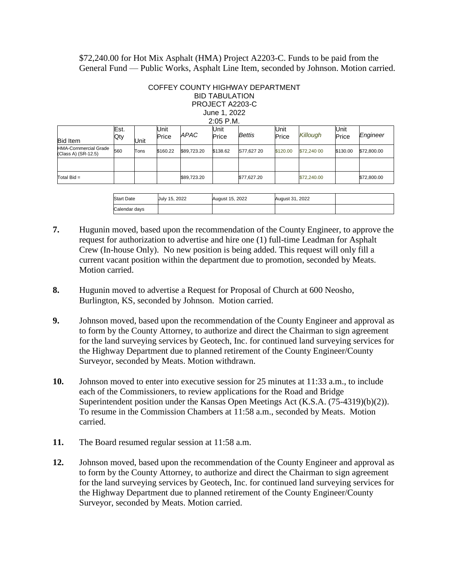\$72,240.00 for Hot Mix Asphalt (HMA) Project A2203-C. Funds to be paid from the General Fund — Public Works, Asphalt Line Item, seconded by Johnson. Motion carried.

## COFFEY COUNTY HIGHWAY DEPARTMENT BID TABULATION PROJECT A2203-C June 1, 2022

| $2:05$ P.M. |
|-------------|
|             |

| <b>Bid Item</b>                                     | Est.<br>Qty | Unit | Unit<br>Price | APAC        | Unit<br>Price | Bettis      | Unit<br>Price | <b>Killough</b> | Unit<br>Price | Engineer    |
|-----------------------------------------------------|-------------|------|---------------|-------------|---------------|-------------|---------------|-----------------|---------------|-------------|
| <b>HMA-Cornmercial Grade</b><br>(Class A) (SR-12.5) | 560         | Tons | \$160.22      | \$89,723.20 | \$138.62      | S77.627 20  | \$120.00      | \$72,240 00     | \$130.00      | \$72,800.00 |
|                                                     |             |      |               |             |               |             |               |                 |               |             |
| Total $Bid =$                                       |             |      |               | \$89,723.20 |               | \$77,627.20 |               | \$72,240.00     |               | \$72,800.00 |

| <b>Start Date</b> | July 15, 2022 | August 15, 2022 | August 31, 2022 |  |
|-------------------|---------------|-----------------|-----------------|--|
| Calendar days     |               |                 |                 |  |

- **7.** Hugunin moved, based upon the recommendation of the County Engineer, to approve the request for authorization to advertise and hire one (1) full-time Leadman for Asphalt Crew (In-house Only). No new position is being added. This request will only fill a current vacant position within the department due to promotion, seconded by Meats. Motion carried.
- **8.** Hugunin moved to advertise a Request for Proposal of Church at 600 Neosho, Burlington, KS, seconded by Johnson. Motion carried.
- **9.** Johnson moved, based upon the recommendation of the County Engineer and approval as to form by the County Attorney, to authorize and direct the Chairman to sign agreement for the land surveying services by Geotech, Inc. for continued land surveying services for the Highway Department due to planned retirement of the County Engineer/County Surveyor, seconded by Meats. Motion withdrawn.
- **10.** Johnson moved to enter into executive session for 25 minutes at 11:33 a.m., to include each of the Commissioners, to review applications for the Road and Bridge Superintendent position under the Kansas Open Meetings Act (K.S.A. (75-4319)(b)(2)). To resume in the Commission Chambers at 11:58 a.m., seconded by Meats. Motion carried.
- **11.** The Board resumed regular session at 11:58 a.m.
- **12.** Johnson moved, based upon the recommendation of the County Engineer and approval as to form by the County Attorney, to authorize and direct the Chairman to sign agreement for the land surveying services by Geotech, Inc. for continued land surveying services for the Highway Department due to planned retirement of the County Engineer/County Surveyor, seconded by Meats. Motion carried.